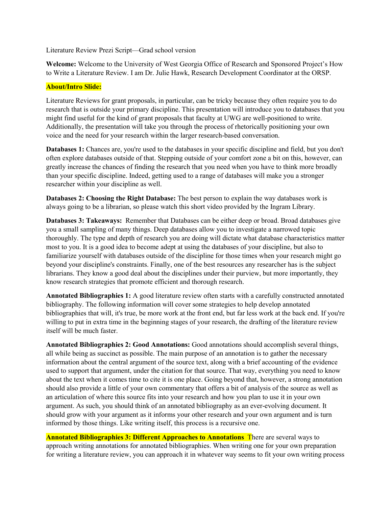Literature Review Prezi Script—Grad school version

**Welcome:** Welcome to the University of West Georgia Office of Research and Sponsored Project's How to Write a Literature Review. I am Dr. Julie Hawk, Research Development Coordinator at the ORSP.

## **About/Intro Slide:**

Literature Reviews for grant proposals, in particular, can be tricky because they often require you to do research that is outside your primary discipline. This presentation will introduce you to databases that you might find useful for the kind of grant proposals that faculty at UWG are well-positioned to write. Additionally, the presentation will take you through the process of rhetorically positioning your own voice and the need for your research within the larger research-based conversation.

**Databases 1:** Chances are, you're used to the databases in your specific discipline and field, but you don't often explore databases outside of that. Stepping outside of your comfort zone a bit on this, however, can greatly increase the chances of finding the research that you need when you have to think more broadly than your specific discipline. Indeed, getting used to a range of databases will make you a stronger researcher within your discipline as well.

**Databases 2: Choosing the Right Database:** The best person to explain the way databases work is always going to be a librarian, so please watch this short video provided by the Ingram Library.

**Databases 3: Takeaways:** Remember that Databases can be either deep or broad. Broad databases give you a small sampling of many things. Deep databases allow you to investigate a narrowed topic thoroughly. The type and depth of research you are doing will dictate what database characteristics matter most to you. It is a good idea to become adept at using the databases of your discipline, but also to familiarize yourself with databases outside of the discipline for those times when your research might go beyond your discipline's constraints. Finally, one of the best resources any researcher has is the subject librarians. They know a good deal about the disciplines under their purview, but more importantly, they know research strategies that promote efficient and thorough research.

**Annotated Bibliographies 1:** A good literature review often starts with a carefully constructed annotated bibliography. The following information will cover some strategies to help develop annotated bibliographies that will, it's true, be more work at the front end, but far less work at the back end. If you're willing to put in extra time in the beginning stages of your research, the drafting of the literature review itself will be much faster.

**Annotated Bibliographies 2: Good Annotations:** Good annotations should accomplish several things, all while being as succinct as possible. The main purpose of an annotation is to gather the necessary information about the central argument of the source text, along with a brief accounting of the evidence used to support that argument, under the citation for that source. That way, everything you need to know about the text when it comes time to cite it is one place. Going beyond that, however, a strong annotation should also provide a little of your own commentary that offers a bit of analysis of the source as well as an articulation of where this source fits into your research and how you plan to use it in your own argument. As such, you should think of an annotated bibliography as an ever-evolving document. It should grow with your argument as it informs your other research and your own argument and is turn informed by those things. Like writing itself, this process is a recursive one.

**Annotated Bibliographies 3: Different Approaches to Annotations** There are several ways to approach writing annotations for annotated bibliographies. When writing one for your own preparation for writing a literature review, you can approach it in whatever way seems to fit your own writing process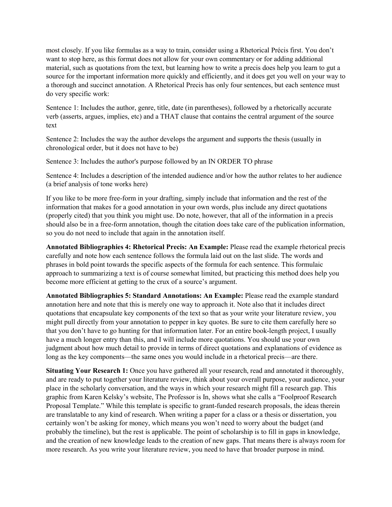most closely. If you like formulas as a way to train, consider using a Rhetorical Précis first. You don't want to stop here, as this format does not allow for your own commentary or for adding additional material, such as quotations from the text, but learning how to write a precis does help you learn to gut a source for the important information more quickly and efficiently, and it does get you well on your way to a thorough and succinct annotation. A Rhetorical Precis has only four sentences, but each sentence must do very specific work:

Sentence 1: Includes the author, genre, title, date (in parentheses), followed by a rhetorically accurate verb (asserts, argues, implies, etc) and a THAT clause that contains the central argument of the source text

Sentence 2: Includes the way the author develops the argument and supports the thesis (usually in chronological order, but it does not have to be)

Sentence 3: Includes the author's purpose followed by an IN ORDER TO phrase

Sentence 4: Includes a description of the intended audience and/or how the author relates to her audience (a brief analysis of tone works here)

If you like to be more free-form in your drafting, simply include that information and the rest of the information that makes for a good annotation in your own words, plus include any direct quotations (properly cited) that you think you might use. Do note, however, that all of the information in a precis should also be in a free-form annotation, though the citation does take care of the publication information, so you do not need to include that again in the annotation itself.

**Annotated Bibliographies 4: Rhetorical Precis: An Example:** Please read the example rhetorical precis carefully and note how each sentence follows the formula laid out on the last slide. The words and phrases in bold point towards the specific aspects of the formula for each sentence. This formulaic approach to summarizing a text is of course somewhat limited, but practicing this method does help you become more efficient at getting to the crux of a source's argument.

**Annotated Bibliographies 5: Standard Annotations: An Example:** Please read the example standard annotation here and note that this is merely one way to approach it. Note also that it includes direct quotations that encapsulate key components of the text so that as your write your literature review, you might pull directly from your annotation to pepper in key quotes. Be sure to cite them carefully here so that you don't have to go hunting for that information later. For an entire book-length project, I usually have a much longer entry than this, and I will include more quotations. You should use your own judgment about how much detail to provide in terms of direct quotations and explanations of evidence as long as the key components—the same ones you would include in a rhetorical precis—are there.

**Situating Your Research 1:** Once you have gathered all your research, read and annotated it thoroughly, and are ready to put together your literature review, think about your overall purpose, your audience, your place in the scholarly conversation, and the ways in which your research might fill a research gap. This graphic from Karen Kelsky's website, The Professor is In, shows what she calls a "Foolproof Research Proposal Template." While this template is specific to grant-funded research proposals, the ideas therein are translatable to any kind of research. When writing a paper for a class or a thesis or dissertation, you certainly won't be asking for money, which means you won't need to worry about the budget (and probably the timeline), but the rest is applicable. The point of scholarship is to fill in gaps in knowledge, and the creation of new knowledge leads to the creation of new gaps. That means there is always room for more research. As you write your literature review, you need to have that broader purpose in mind.